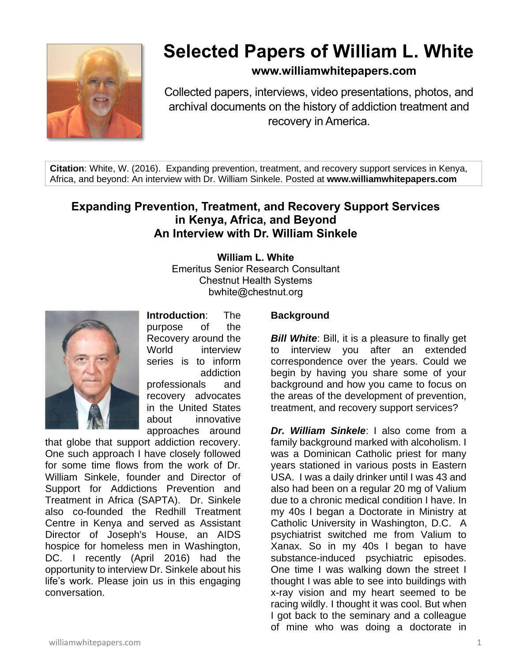

# **Selected Papers of William L. White**

## **www.williamwhitepapers.com**

Collected papers, interviews, video presentations, photos, and archival documents on the history of addiction treatment and recovery in America.

**Citation**: White, W. (2016). Expanding prevention, treatment, and recovery support services in Kenya, Africa, and beyond: An interview with Dr. William Sinkele. Posted at **www.williamwhitepapers.com**

## **Expanding Prevention, Treatment, and Recovery Support Services in Kenya, Africa, and Beyond An Interview with Dr. William Sinkele**

**William L. White** Emeritus Senior Research Consultant Chestnut Health Systems bwhite@chestnut.org



**Introduction**: The purpose of the Recovery around the World interview series is to inform addiction professionals and recovery advocates in the United States about innovative

approaches around that globe that support addiction recovery. One such approach I have closely followed for some time flows from the work of Dr. William Sinkele, founder and Director of Support for Addictions Prevention and Treatment in Africa (SAPTA). Dr. Sinkele also co-founded the Redhill Treatment Centre in Kenya and served as Assistant Director of Joseph's House, an AIDS hospice for homeless men in Washington, DC. I recently (April 2016) had the opportunity to interview Dr. Sinkele about his life's work. Please join us in this engaging conversation.

### **Background**

*Bill White: Bill, it is a pleasure to finally get* to interview you after an extended correspondence over the years. Could we begin by having you share some of your background and how you came to focus on the areas of the development of prevention, treatment, and recovery support services?

*Dr. William Sinkele*: I also come from a family background marked with alcoholism. I was a Dominican Catholic priest for many years stationed in various posts in Eastern USA. I was a daily drinker until I was 43 and also had been on a regular 20 mg of Valium due to a chronic medical condition I have. In my 40s I began a Doctorate in Ministry at Catholic University in Washington, D.C. A psychiatrist switched me from Valium to Xanax. So in my 40s I began to have substance-induced psychiatric episodes. One time I was walking down the street I thought I was able to see into buildings with x-ray vision and my heart seemed to be racing wildly. I thought it was cool. But when I got back to the seminary and a colleague of mine who was doing a doctorate in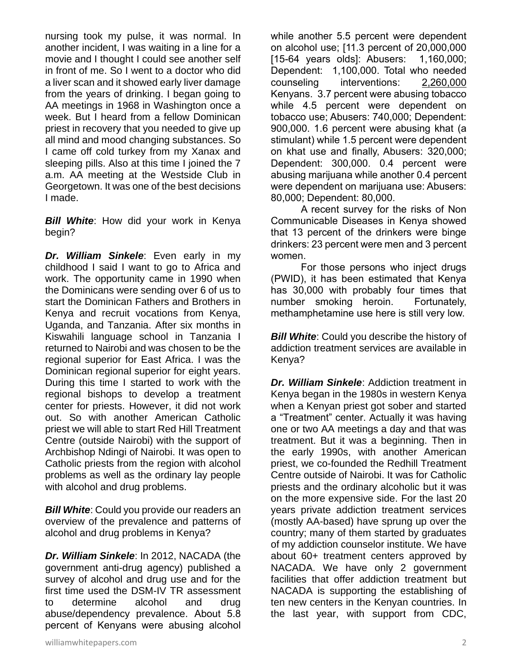nursing took my pulse, it was normal. In another incident, I was waiting in a line for a movie and I thought I could see another self in front of me. So I went to a doctor who did a liver scan and it showed early liver damage from the years of drinking. I began going to AA meetings in 1968 in Washington once a week. But I heard from a fellow Dominican priest in recovery that you needed to give up all mind and mood changing substances. So I came off cold turkey from my Xanax and sleeping pills. Also at this time I joined the 7 a.m. AA meeting at the Westside Club in Georgetown. It was one of the best decisions I made.

*Bill White*: How did your work in Kenya begin?

*Dr. William Sinkele*: Even early in my childhood I said I want to go to Africa and work. The opportunity came in 1990 when the Dominicans were sending over 6 of us to start the Dominican Fathers and Brothers in Kenya and recruit vocations from Kenya, Uganda, and Tanzania. After six months in Kiswahili language school in Tanzania I returned to Nairobi and was chosen to be the regional superior for East Africa. I was the Dominican regional superior for eight years. During this time I started to work with the regional bishops to develop a treatment center for priests. However, it did not work out. So with another American Catholic priest we will able to start Red Hill Treatment Centre (outside Nairobi) with the support of Archbishop Ndingi of Nairobi. It was open to Catholic priests from the region with alcohol problems as well as the ordinary lay people with alcohol and drug problems.

*Bill White*: Could you provide our readers an overview of the prevalence and patterns of alcohol and drug problems in Kenya?

*Dr. William Sinkele*: In 2012, NACADA (the government anti-drug agency) published a survey of alcohol and drug use and for the first time used the DSM-IV TR assessment to determine alcohol and drug abuse/dependency prevalence. About 5.8 percent of Kenyans were abusing alcohol while another 5.5 percent were dependent on alcohol use; [11.3 percent of 20,000,000 [15-64 years olds]: Abusers: 1,160,000; Dependent: 1,100,000. Total who needed counseling interventions: 2,260,000 Kenyans. 3.7 percent were abusing tobacco while 4.5 percent were dependent on tobacco use; Abusers: 740,000; Dependent: 900,000. 1.6 percent were abusing khat (a stimulant) while 1.5 percent were dependent on khat use and finally, Abusers: 320,000; Dependent: 300,000. 0.4 percent were abusing marijuana while another 0.4 percent were dependent on marijuana use: Abusers: 80,000; Dependent: 80,000.

A recent survey for the risks of Non Communicable Diseases in Kenya showed that 13 percent of the drinkers were binge drinkers: 23 percent were men and 3 percent women.

For those persons who inject drugs (PWID), it has been estimated that Kenya has 30,000 with probably four times that number smoking heroin. Fortunately, methamphetamine use here is still very low.

**Bill White:** Could you describe the history of addiction treatment services are available in Kenya?

*Dr. William Sinkele*: Addiction treatment in Kenya began in the 1980s in western Kenya when a Kenyan priest got sober and started a "Treatment" center. Actually it was having one or two AA meetings a day and that was treatment. But it was a beginning. Then in the early 1990s, with another American priest, we co-founded the Redhill Treatment Centre outside of Nairobi. It was for Catholic priests and the ordinary alcoholic but it was on the more expensive side. For the last 20 years private addiction treatment services (mostly AA-based) have sprung up over the country; many of them started by graduates of my addiction counselor institute. We have about 60+ treatment centers approved by NACADA. We have only 2 government facilities that offer addiction treatment but NACADA is supporting the establishing of ten new centers in the Kenyan countries. In the last year, with support from CDC,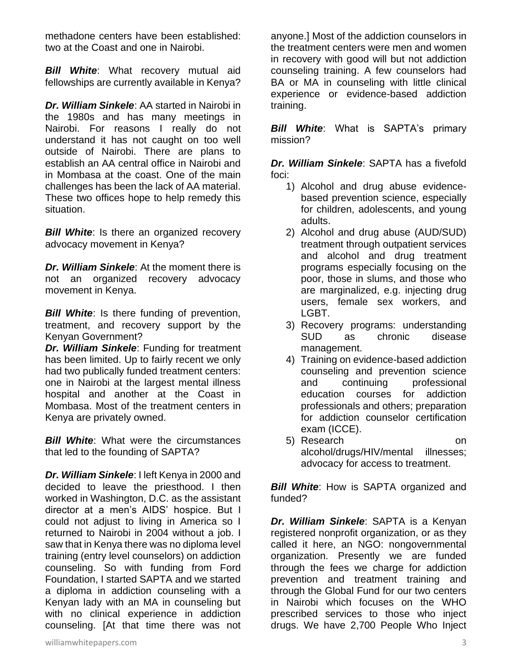methadone centers have been established: two at the Coast and one in Nairobi.

*Bill White*: What recovery mutual aid fellowships are currently available in Kenya?

*Dr. William Sinkele*: AA started in Nairobi in the 1980s and has many meetings in Nairobi. For reasons I really do not understand it has not caught on too well outside of Nairobi. There are plans to establish an AA central office in Nairobi and in Mombasa at the coast. One of the main challenges has been the lack of AA material. These two offices hope to help remedy this situation.

*Bill White*: Is there an organized recovery advocacy movement in Kenya?

*Dr. William Sinkele*: At the moment there is not an organized recovery advocacy movement in Kenya.

**Bill White:** Is there funding of prevention, treatment, and recovery support by the Kenyan Government?

*Dr. William Sinkele*: Funding for treatment has been limited. Up to fairly recent we only had two publically funded treatment centers: one in Nairobi at the largest mental illness hospital and another at the Coast in Mombasa. Most of the treatment centers in Kenya are privately owned.

*Bill White*: What were the circumstances that led to the founding of SAPTA?

*Dr. William Sinkele*: I left Kenya in 2000 and decided to leave the priesthood. I then worked in Washington, D.C. as the assistant director at a men's AIDS' hospice. But I could not adjust to living in America so I returned to Nairobi in 2004 without a job. I saw that in Kenya there was no diploma level training (entry level counselors) on addiction counseling. So with funding from Ford Foundation, I started SAPTA and we started a diploma in addiction counseling with a Kenyan lady with an MA in counseling but with no clinical experience in addiction counseling. [At that time there was not *Bill White*: What is SAPTA's primary mission?

*Dr. William Sinkele*: SAPTA has a fivefold foci:

- 1) Alcohol and drug abuse evidencebased prevention science, especially for children, adolescents, and young adults.
- 2) Alcohol and drug abuse (AUD/SUD) treatment through outpatient services and alcohol and drug treatment programs especially focusing on the poor, those in slums, and those who are marginalized, e.g. injecting drug users, female sex workers, and LGBT.
- 3) Recovery programs: understanding SUD as chronic disease management.
- 4) Training on evidence-based addiction counseling and prevention science and continuing professional education courses for addiction professionals and others; preparation for addiction counselor certification exam (ICCE).
- 5) Research on alcohol/drugs/HIV/mental illnesses; advocacy for access to treatment.

**Bill White:** How is SAPTA organized and funded?

*Dr. William Sinkele*: SAPTA is a Kenyan registered nonprofit organization, or as they called it here, an NGO: nongovernmental organization. Presently we are funded through the fees we charge for addiction prevention and treatment training and through the Global Fund for our two centers in Nairobi which focuses on the WHO prescribed services to those who inject drugs. We have 2,700 People Who Inject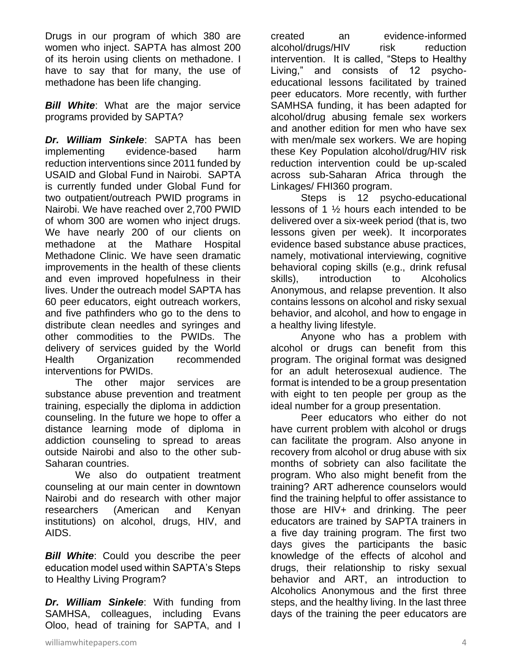Drugs in our program of which 380 are women who inject. SAPTA has almost 200 of its heroin using clients on methadone. I have to say that for many, the use of methadone has been life changing.

**Bill White:** What are the major service programs provided by SAPTA?

*Dr. William Sinkele*: SAPTA has been implementing evidence-based harm reduction interventions since 2011 funded by USAID and Global Fund in Nairobi. SAPTA is currently funded under Global Fund for two outpatient/outreach PWID programs in Nairobi. We have reached over 2,700 PWID of whom 300 are women who inject drugs. We have nearly 200 of our clients on methadone at the Mathare Hospital Methadone Clinic. We have seen dramatic improvements in the health of these clients and even improved hopefulness in their lives. Under the outreach model SAPTA has 60 peer educators, eight outreach workers, and five pathfinders who go to the dens to distribute clean needles and syringes and other commodities to the PWIDs. The delivery of services guided by the World Health Organization recommended interventions for PWIDs.

The other major services are substance abuse prevention and treatment training, especially the diploma in addiction counseling. In the future we hope to offer a distance learning mode of diploma in addiction counseling to spread to areas outside Nairobi and also to the other sub-Saharan countries.

We also do outpatient treatment counseling at our main center in downtown Nairobi and do research with other major researchers (American and Kenyan institutions) on alcohol, drugs, HIV, and AIDS.

*Bill White*: Could you describe the peer education model used within SAPTA's Steps to Healthy Living Program?

*Dr. William Sinkele*: With funding from SAMHSA, colleagues, including Evans Oloo, head of training for SAPTA, and I

created an evidence-informed alcohol/drugs/HIV risk reduction intervention. It is called, "Steps to Healthy Living," and consists of 12 psychoeducational lessons facilitated by trained peer educators. More recently, with further SAMHSA funding, it has been adapted for alcohol/drug abusing female sex workers and another edition for men who have sex with men/male sex workers. We are hoping these Key Population alcohol/drug/HIV risk reduction intervention could be up-scaled across sub-Saharan Africa through the Linkages/ FHI360 program.

Steps is 12 psycho-educational lessons of 1 ½ hours each intended to be delivered over a six-week period (that is, two lessons given per week). It incorporates evidence based substance abuse practices, namely, motivational interviewing, cognitive behavioral coping skills (e.g., drink refusal skills), introduction to Alcoholics Anonymous, and relapse prevention. It also contains lessons on alcohol and risky sexual behavior, and alcohol, and how to engage in a healthy living lifestyle.

Anyone who has a problem with alcohol or drugs can benefit from this program. The original format was designed for an adult heterosexual audience. The format is intended to be a group presentation with eight to ten people per group as the ideal number for a group presentation.

Peer educators who either do not have current problem with alcohol or drugs can facilitate the program. Also anyone in recovery from alcohol or drug abuse with six months of sobriety can also facilitate the program. Who also might benefit from the training? ART adherence counselors would find the training helpful to offer assistance to those are HIV+ and drinking. The peer educators are trained by SAPTA trainers in a five day training program. The first two days gives the participants the basic knowledge of the effects of alcohol and drugs, their relationship to risky sexual behavior and ART, an introduction to Alcoholics Anonymous and the first three steps, and the healthy living. In the last three days of the training the peer educators are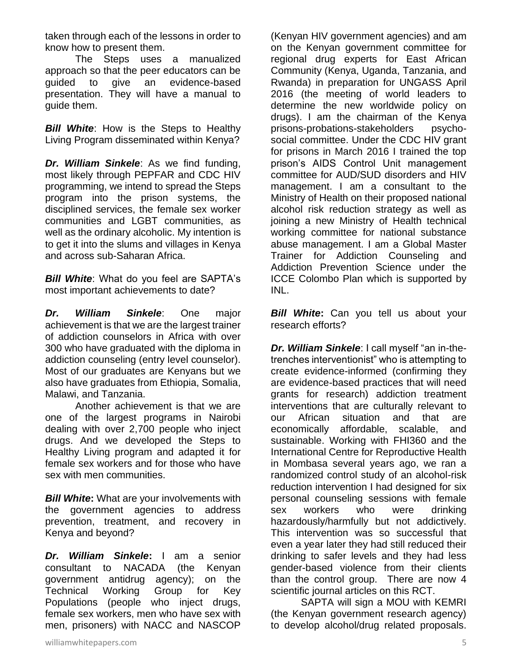taken through each of the lessons in order to know how to present them.

The Steps uses a manualized approach so that the peer educators can be guided to give an evidence-based presentation. They will have a manual to guide them.

**Bill White:** How is the Steps to Healthy Living Program disseminated within Kenya?

*Dr. William Sinkele*: As we find funding, most likely through PEPFAR and CDC HIV programming, we intend to spread the Steps program into the prison systems, the disciplined services, the female sex worker communities and LGBT communities, as well as the ordinary alcoholic. My intention is to get it into the slums and villages in Kenya and across sub-Saharan Africa.

*Bill White*: What do you feel are SAPTA's most important achievements to date?

*Dr. William Sinkele*: One major achievement is that we are the largest trainer of addiction counselors in Africa with over 300 who have graduated with the diploma in addiction counseling (entry level counselor). Most of our graduates are Kenyans but we also have graduates from Ethiopia, Somalia, Malawi, and Tanzania.

Another achievement is that we are one of the largest programs in Nairobi dealing with over 2,700 people who inject drugs. And we developed the Steps to Healthy Living program and adapted it for female sex workers and for those who have sex with men communities.

*Bill White***:** What are your involvements with the government agencies to address prevention, treatment, and recovery in Kenya and beyond?

*Dr. William Sinkele***:** I am a senior consultant to NACADA (the Kenyan government antidrug agency); on the Technical Working Group for Key Populations (people who inject drugs, female sex workers, men who have sex with men, prisoners) with NACC and NASCOP

(Kenyan HIV government agencies) and am on the Kenyan government committee for regional drug experts for East African Community (Kenya, Uganda, Tanzania, and Rwanda) in preparation for UNGASS April 2016 (the meeting of world leaders to determine the new worldwide policy on drugs). I am the chairman of the Kenya prisons-probations-stakeholders psychosocial committee. Under the CDC HIV grant for prisons in March 2016 I trained the top prison's AIDS Control Unit management committee for AUD/SUD disorders and HIV management. I am a consultant to the Ministry of Health on their proposed national alcohol risk reduction strategy as well as joining a new Ministry of Health technical working committee for national substance abuse management. I am a Global Master Trainer for Addiction Counseling and Addiction Prevention Science under the ICCE Colombo Plan which is supported by INL.

**Bill White:** Can you tell us about your research efforts?

*Dr. William Sinkele*: I call myself "an in-thetrenches interventionist" who is attempting to create evidence-informed (confirming they are evidence-based practices that will need grants for research) addiction treatment interventions that are culturally relevant to our African situation and that are economically affordable, scalable, and sustainable. Working with FHI360 and the International Centre for Reproductive Health in Mombasa several years ago, we ran a randomized control study of an alcohol-risk reduction intervention I had designed for six personal counseling sessions with female sex workers who were drinking hazardously/harmfully but not addictively. This intervention was so successful that even a year later they had still reduced their drinking to safer levels and they had less gender-based violence from their clients than the control group. There are now 4 scientific journal articles on this RCT.

SAPTA will sign a MOU with KEMRI (the Kenyan government research agency) to develop alcohol/drug related proposals.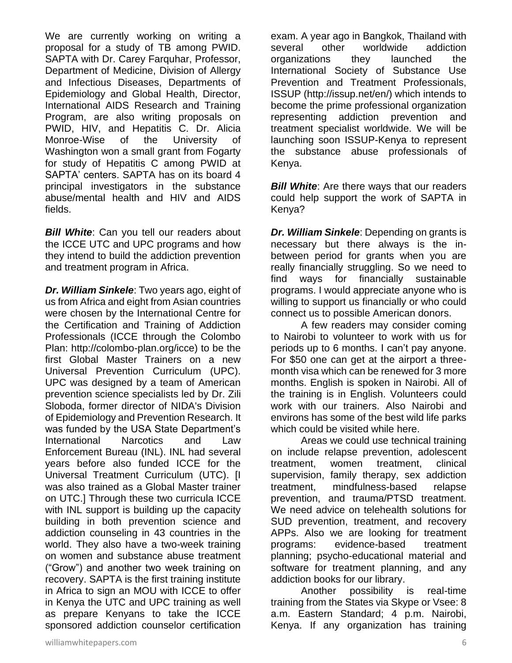We are currently working on writing a proposal for a study of TB among PWID. SAPTA with Dr. Carey Farquhar, Professor, Department of Medicine, Division of Allergy and Infectious Diseases, Departments of Epidemiology and Global Health, Director, International AIDS Research and Training Program, are also writing proposals on PWID, HIV, and Hepatitis C. Dr. Alicia Monroe-Wise of the University of Washington won a small grant from Fogarty for study of Hepatitis C among PWID at SAPTA' centers. SAPTA has on its board 4 principal investigators in the substance abuse/mental health and HIV and AIDS fields.

*Bill White:* Can you tell our readers about the ICCE UTC and UPC programs and how they intend to build the addiction prevention and treatment program in Africa.

*Dr. William Sinkele*: Two years ago, eight of us from Africa and eight from Asian countries were chosen by the International Centre for the Certification and Training of Addiction Professionals (ICCE through the Colombo Plan: http://colombo-plan.org/icce) to be the first Global Master Trainers on a new Universal Prevention Curriculum (UPC). UPC was designed by a team of American prevention science specialists led by Dr. Zili Sloboda, former director of NIDA's Division of Epidemiology and Prevention Research. It was funded by the USA State Department's International Narcotics and Law Enforcement Bureau (INL). INL had several years before also funded ICCE for the Universal Treatment Curriculum (UTC). [I was also trained as a Global Master trainer on UTC.] Through these two curricula ICCE with INL support is building up the capacity building in both prevention science and addiction counseling in 43 countries in the world. They also have a two-week training on women and substance abuse treatment ("Grow") and another two week training on recovery. SAPTA is the first training institute in Africa to sign an MOU with ICCE to offer in Kenya the UTC and UPC training as well as prepare Kenyans to take the ICCE sponsored addiction counselor certification

exam. A year ago in Bangkok, Thailand with several other worldwide addiction organizations they launched the International Society of Substance Use Prevention and Treatment Professionals, ISSUP (http://issup.net/en/) which intends to become the prime professional organization representing addiction prevention and treatment specialist worldwide. We will be launching soon ISSUP-Kenya to represent the substance abuse professionals of Kenya.

**Bill White:** Are there ways that our readers could help support the work of SAPTA in Kenya?

*Dr. William Sinkele*: Depending on grants is necessary but there always is the inbetween period for grants when you are really financially struggling. So we need to find ways for financially sustainable programs. I would appreciate anyone who is willing to support us financially or who could connect us to possible American donors.

A few readers may consider coming to Nairobi to volunteer to work with us for periods up to 6 months. I can't pay anyone. For \$50 one can get at the airport a threemonth visa which can be renewed for 3 more months. English is spoken in Nairobi. All of the training is in English. Volunteers could work with our trainers. Also Nairobi and environs has some of the best wild life parks which could be visited while here.

Areas we could use technical training on include relapse prevention, adolescent treatment, women treatment, clinical supervision, family therapy, sex addiction treatment, mindfulness-based relapse prevention, and trauma/PTSD treatment. We need advice on telehealth solutions for SUD prevention, treatment, and recovery APPs. Also we are looking for treatment programs: evidence-based treatment planning; psycho-educational material and software for treatment planning, and any addiction books for our library.

Another possibility is real-time training from the States via Skype or Vsee: 8 a.m. Eastern Standard; 4 p.m. Nairobi, Kenya. If any organization has training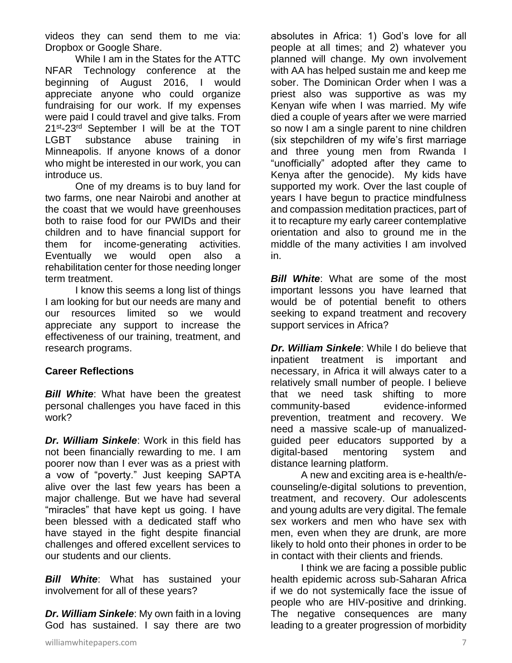videos they can send them to me via: Dropbox or Google Share.

While I am in the States for the ATTC NFAR Technology conference at the beginning of August 2016, I would appreciate anyone who could organize fundraising for our work. If my expenses were paid I could travel and give talks. From 21<sup>st</sup>-23<sup>rd</sup> September I will be at the TOT LGBT substance abuse training in Minneapolis. If anyone knows of a donor who might be interested in our work, you can introduce us.

One of my dreams is to buy land for two farms, one near Nairobi and another at the coast that we would have greenhouses both to raise food for our PWIDs and their children and to have financial support for them for income-generating activities. Eventually we would open also a rehabilitation center for those needing longer term treatment.

I know this seems a long list of things I am looking for but our needs are many and our resources limited so we would appreciate any support to increase the effectiveness of our training, treatment, and research programs.

#### **Career Reflections**

*Bill White*: What have been the greatest personal challenges you have faced in this work?

*Dr. William Sinkele*: Work in this field has not been financially rewarding to me. I am poorer now than I ever was as a priest with a vow of "poverty." Just keeping SAPTA alive over the last few years has been a major challenge. But we have had several "miracles" that have kept us going. I have been blessed with a dedicated staff who have stayed in the fight despite financial challenges and offered excellent services to our students and our clients.

**Bill White**: What has sustained your involvement for all of these years?

*Dr. William Sinkele*: My own faith in a loving God has sustained. I say there are two

absolutes in Africa: 1) God's love for all people at all times; and 2) whatever you planned will change. My own involvement with AA has helped sustain me and keep me sober. The Dominican Order when I was a priest also was supportive as was my Kenyan wife when I was married. My wife died a couple of years after we were married so now I am a single parent to nine children (six stepchildren of my wife's first marriage and three young men from Rwanda I "unofficially" adopted after they came to Kenya after the genocide). My kids have supported my work. Over the last couple of years I have begun to practice mindfulness and compassion meditation practices, part of it to recapture my early career contemplative orientation and also to ground me in the middle of the many activities I am involved in.

**Bill White:** What are some of the most important lessons you have learned that would be of potential benefit to others seeking to expand treatment and recovery support services in Africa?

*Dr. William Sinkele*: While I do believe that inpatient treatment is important and necessary, in Africa it will always cater to a relatively small number of people. I believe that we need task shifting to more community-based evidence-informed prevention, treatment and recovery. We need a massive scale-up of manualizedguided peer educators supported by a digital-based mentoring system and distance learning platform.

A new and exciting area is e-health/ecounseling/e-digital solutions to prevention, treatment, and recovery. Our adolescents and young adults are very digital. The female sex workers and men who have sex with men, even when they are drunk, are more likely to hold onto their phones in order to be in contact with their clients and friends.

I think we are facing a possible public health epidemic across sub-Saharan Africa if we do not systemically face the issue of people who are HIV-positive and drinking. The negative consequences are many leading to a greater progression of morbidity